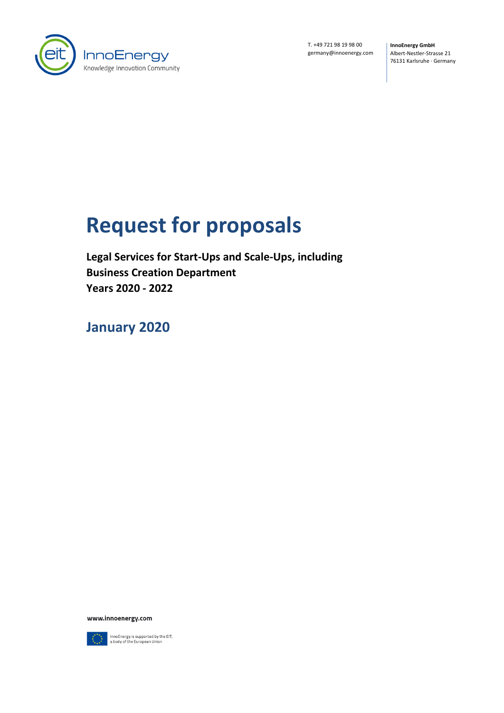

T. +49 721 98 19 98 00 germany@innoenergy.com **InnoEnergy GmbH** Albert-Nestler-Strasse 21 76131 Karlsruhe · Germany

# **Request for proposals**

**Legal Services for Start-Ups and Scale-Ups, including Business Creation Department Years 2020 - 2022**

**January 2020**

www.innoenergy.com



 $\fbox{\hbox{\sf InnoEnergy}} is supported by the EIT, a body of the European Union$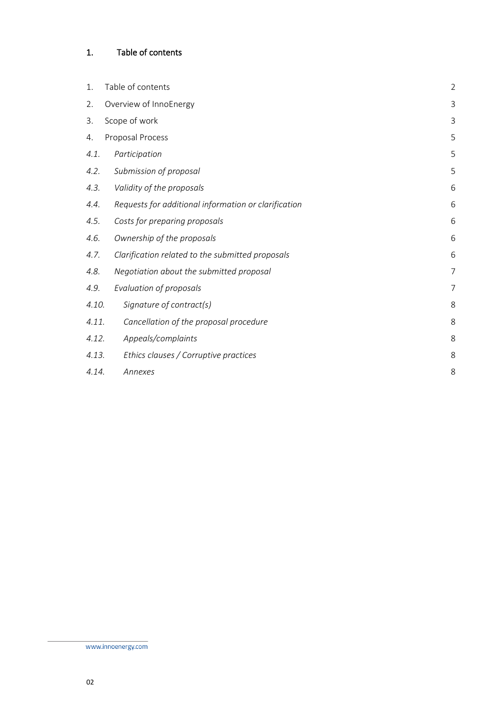# <span id="page-1-0"></span>1. Table of contents

| 1.    | Table of contents                                    | $\overline{2}$ |
|-------|------------------------------------------------------|----------------|
| 2.    | Overview of InnoEnergy                               | 3              |
| 3.    | Scope of work                                        | 3              |
| 4.    | Proposal Process                                     | 5              |
| 4.1.  | Participation                                        | 5              |
| 4.2.  | Submission of proposal                               | 5              |
| 4.3.  | Validity of the proposals                            | 6              |
| 4.4.  | Requests for additional information or clarification | 6              |
| 4.5.  | Costs for preparing proposals                        | 6              |
| 4.6.  | Ownership of the proposals                           | 6              |
| 4.7.  | Clarification related to the submitted proposals     | 6              |
| 4.8.  | Negotiation about the submitted proposal             | $\overline{7}$ |
| 4.9.  | Evaluation of proposals                              | $\overline{7}$ |
| 4.10. | Signature of contract(s)                             | 8              |
| 4.11. | Cancellation of the proposal procedure               | 8              |
| 4.12. | Appeals/complaints                                   | 8              |
| 4.13. | Ethics clauses / Corruptive practices                | 8              |
| 4.14. | Annexes                                              | 8              |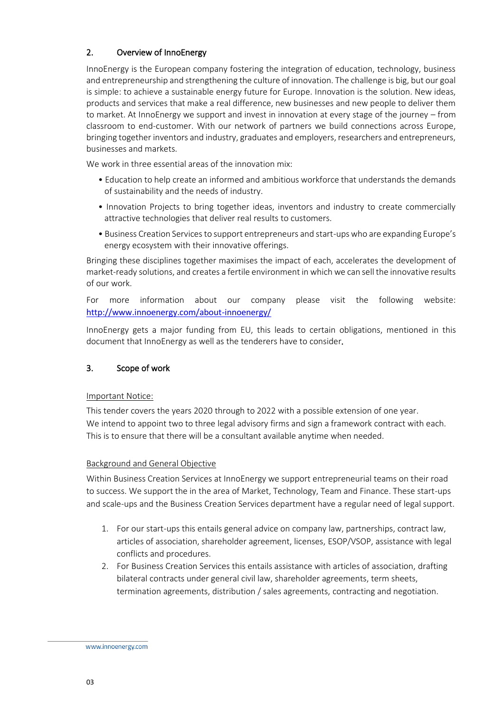# <span id="page-2-0"></span>2. Overview of InnoEnergy

<span id="page-2-1"></span>InnoEnergy is the European company fostering the integration of education, technology, business and entrepreneurship and strengthening the culture of innovation. The challenge is big, but our goal is simple: to achieve a sustainable energy future for Europe. Innovation is the solution. New ideas, products and services that make a real difference, new businesses and new people to deliver them to market. At InnoEnergy we support and invest in innovation at every stage of the journey – from classroom to end-customer. With our network of partners we build connections across Europe, bringing together inventors and industry, graduates and employers, researchers and entrepreneurs, businesses and markets.

We work in three essential areas of the innovation mix:

- Education to help create an informed and ambitious workforce that understands the demands of sustainability and the needs of industry.
- Innovation Projects to bring together ideas, inventors and industry to create commercially attractive technologies that deliver real results to customers.
- Business Creation Services to support entrepreneurs and start-ups who are expanding Europe's energy ecosystem with their innovative offerings.

Bringing these disciplines together maximises the impact of each, accelerates the development of market-ready solutions, and creates a fertile environment in which we can sell the innovative results of our work.

For more information about our company please visit the following website: <http://www.innoenergy.com/about-innoenergy/>

InnoEnergy gets a major funding from EU, this leads to certain obligations, mentioned in this document that InnoEnergy as well as the tenderers have to consider*.*

### 3. Scope of work

### Important Notice:

This tender covers the years 2020 through to 2022 with a possible extension of one year. We intend to appoint two to three legal advisory firms and sign a framework contract with each. This is to ensure that there will be a consultant available anytime when needed.

### Background and General Objective

Within Business Creation Services at InnoEnergy we support entrepreneurial teams on their road to success. We support the in the area of Market, Technology, Team and Finance. These start-ups and scale-ups and the Business Creation Services department have a regular need of legal support.

- 1. For our start-ups this entails general advice on company law, partnerships, contract law, articles of association, shareholder agreement, licenses, ESOP/VSOP, assistance with legal conflicts and procedures.
- 2. For Business Creation Services this entails assistance with articles of association, drafting bilateral contracts under general civil law, shareholder agreements, term sheets, termination agreements, distribution / sales agreements, contracting and negotiation.

www.innoenergy.com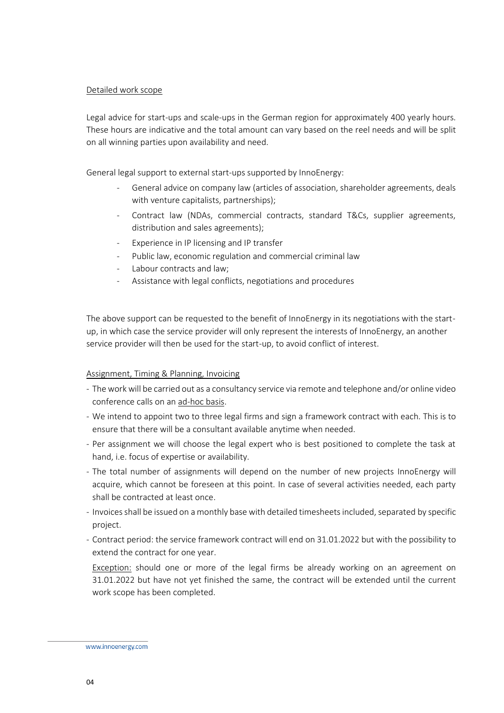#### Detailed work scope

Legal advice for start-ups and scale-ups in the German region for approximately 400 yearly hours. These hours are indicative and the total amount can vary based on the reel needs and will be split on all winning parties upon availability and need.

General legal support to external start-ups supported by InnoEnergy:

- General advice on company law (articles of association, shareholder agreements, deals with venture capitalists, partnerships);
- Contract law (NDAs, commercial contracts, standard T&Cs, supplier agreements, distribution and sales agreements);
- Experience in IP licensing and IP transfer
- Public law, economic regulation and commercial criminal law
- Labour contracts and law;
- Assistance with legal conflicts, negotiations and procedures

The above support can be requested to the benefit of InnoEnergy in its negotiations with the startup, in which case the service provider will only represent the interests of InnoEnergy, an another service provider will then be used for the start-up, to avoid conflict of interest.

#### Assignment, Timing & Planning, Invoicing

- The work will be carried out as a consultancy service via remote and telephone and/or online video conference calls on an ad-hoc basis.
- We intend to appoint two to three legal firms and sign a framework contract with each. This is to ensure that there will be a consultant available anytime when needed.
- Per assignment we will choose the legal expert who is best positioned to complete the task at hand, i.e. focus of expertise or availability.
- The total number of assignments will depend on the number of new projects InnoEnergy will acquire, which cannot be foreseen at this point. In case of several activities needed, each party shall be contracted at least once.
- Invoices shall be issued on a monthly base with detailed timesheets included, separated by specific project.
- Contract period: the service framework contract will end on 31.01.2022 but with the possibility to extend the contract for one year.

Exception: should one or more of the legal firms be already working on an agreement on 31.01.2022 but have not yet finished the same, the contract will be extended until the current work scope has been completed.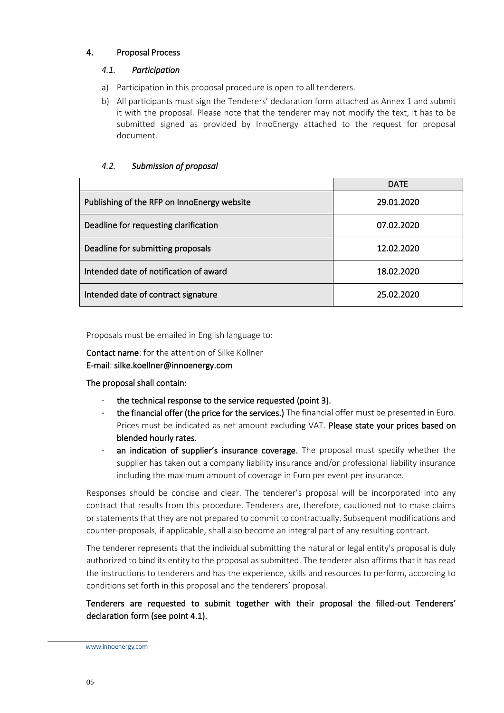### <span id="page-4-1"></span><span id="page-4-0"></span>4. Proposal Process

#### *4.1. Participation*

- a) Participation in this proposal procedure is open to all tenderers.
- b) All participants must sign the Tenderers' declaration form attached as Annex 1 and submit it with the proposal. Please note that the tenderer may not modify the text, it has to be submitted signed as provided by InnoEnergy attached to the request for proposal document.

<span id="page-4-2"></span>

|                                             | <b>DATE</b> |  |
|---------------------------------------------|-------------|--|
| Publishing of the RFP on InnoEnergy website | 29.01.2020  |  |
| Deadline for requesting clarification       | 07.02.2020  |  |
| Deadline for submitting proposals           | 12.02.2020  |  |
| Intended date of notification of award      | 18.02.2020  |  |
| Intended date of contract signature         | 25.02.2020  |  |

#### *4.2. Submission of proposal*

Proposals must be emailed in English language to:

Contact name: for the attention of Silke Köllner E-mail: silke.koellner@innoenergy.com

### The proposal shall contain:

- the technical response to the service requested (point 3).
- the financial offer (the price for the services.) The financial offer must be presented in Euro. Prices must be indicated as net amount excluding VAT. Please state your prices based on blended hourly rates.
- an indication of supplier's insurance coverage. The proposal must specify whether the supplier has taken out a company liability insurance and/or professional liability insurance including the maximum amount of coverage in Euro per event per insurance.

Responses should be concise and clear. The tenderer's proposal will be incorporated into any contract that results from this procedure. Tenderers are, therefore, cautioned not to make claims or statements that they are not prepared to commit to contractually. Subsequent modifications and counter-proposals, if applicable, shall also become an integral part of any resulting contract.

The tenderer represents that the individual submitting the natural or legal entity's proposal is duly authorized to bind its entity to the proposal as submitted. The tenderer also affirms that it has read the instructions to tenderers and has the experience, skills and resources to perform, according to conditions set forth in this proposal and the tenderers' proposal.

# Tenderers are requested to submit together with their proposal the filled-out Tenderers' declaration form (see point 4.1).

www.innoenergy.com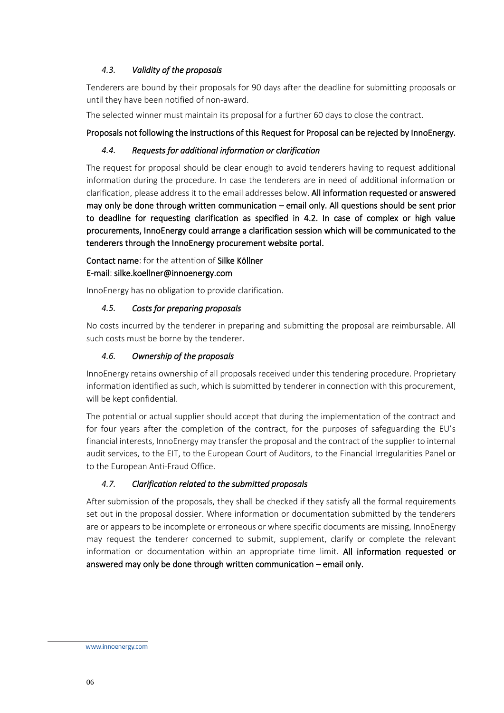## <span id="page-5-0"></span>*4.3. Validity of the proposals*

Tenderers are bound by their proposals for 90 days after the deadline for submitting proposals or until they have been notified of non-award.

The selected winner must maintain its proposal for a further 60 days to close the contract.

## <span id="page-5-1"></span>Proposals not following the instructions of this Request for Proposal can be rejected by InnoEnergy.

## *4.4. Requests for additional information or clarification*

The request for proposal should be clear enough to avoid tenderers having to request additional information during the procedure. In case the tenderers are in need of additional information or clarification, please address it to the email addresses below. All information requested or answered may only be done through written communication – email only. All questions should be sent prior to deadline for requesting clarification as specified in 4.2. In case of complex or high value procurements, InnoEnergy could arrange a clarification session which will be communicated to the tenderers through the InnoEnergy procurement website portal.

Contact name: for the attention of Silke Köllner E-mail: silke.koellner@innoenergy.com

InnoEnergy has no obligation to provide clarification.

### <span id="page-5-2"></span>*4.5. Costs for preparing proposals*

No costs incurred by the tenderer in preparing and submitting the proposal are reimbursable. All such costs must be borne by the tenderer.

## <span id="page-5-3"></span>*4.6. Ownership of the proposals*

InnoEnergy retains ownership of all proposals received under this tendering procedure. Proprietary information identified as such, which is submitted by tenderer in connection with this procurement, will be kept confidential.

The potential or actual supplier should accept that during the implementation of the contract and for four years after the completion of the contract, for the purposes of safeguarding the EU's financial interests, InnoEnergy may transfer the proposal and the contract of the supplier to internal audit services, to the EIT, to the European Court of Auditors, to the Financial Irregularities Panel or to the European Anti-Fraud Office.

# <span id="page-5-4"></span>*4.7. Clarification related to the submitted proposals*

After submission of the proposals, they shall be checked if they satisfy all the formal requirements set out in the proposal dossier. Where information or documentation submitted by the tenderers are or appears to be incomplete or erroneous or where specific documents are missing, InnoEnergy may request the tenderer concerned to submit, supplement, clarify or complete the relevant information or documentation within an appropriate time limit. All information requested or answered may only be done through written communication – email only.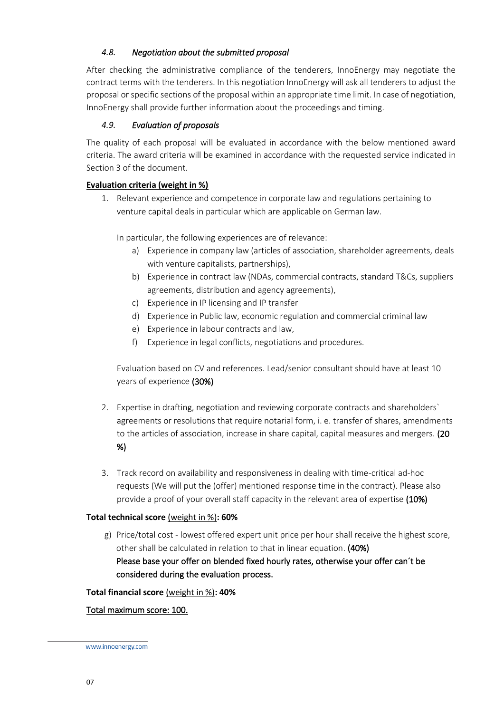## <span id="page-6-0"></span>*4.8. Negotiation about the submitted proposal*

After checking the administrative compliance of the tenderers, InnoEnergy may negotiate the contract terms with the tenderers. In this negotiation InnoEnergy will ask all tenderers to adjust the proposal or specific sections of the proposal within an appropriate time limit. In case of negotiation, InnoEnergy shall provide further information about the proceedings and timing.

## <span id="page-6-1"></span>*4.9. Evaluation of proposals*

The quality of each proposal will be evaluated in accordance with the below mentioned award criteria. The award criteria will be examined in accordance with the requested service indicated in Section 3 of the document.

## **Evaluation criteria (weight in %)**

1. Relevant experience and competence in corporate law and regulations pertaining to venture capital deals in particular which are applicable on German law.

In particular, the following experiences are of relevance:

- a) Experience in company law (articles of association, shareholder agreements, deals with venture capitalists, partnerships),
- b) Experience in contract law (NDAs, commercial contracts, standard T&Cs, suppliers agreements, distribution and agency agreements),
- c) Experience in IP licensing and IP transfer
- d) Experience in Public law, economic regulation and commercial criminal law
- e) Experience in labour contracts and law,
- f) Experience in legal conflicts, negotiations and procedures.

Evaluation based on CV and references. Lead/senior consultant should have at least 10 years of experience (30%)

- 2. Expertise in drafting, negotiation and reviewing corporate contracts and shareholders` agreements or resolutions that require notarial form, i. e. transfer of shares, amendments to the articles of association, increase in share capital, capital measures and mergers. (20 %)
- 3. Track record on availability and responsiveness in dealing with time-critical ad-hoc requests (We will put the (offer) mentioned response time in the contract). Please also provide a proof of your overall staff capacity in the relevant area of expertise (10%)

### **Total technical score** (weight in %)**: 60%**

g) Price/total cost - lowest offered expert unit price per hour shall receive the highest score, other shall be calculated in relation to that in linear equation. (40%) Please base your offer on blended fixed hourly rates, otherwise your offer can´t be considered during the evaluation process.

### **Total financial score** (weight in %)**: 40%**

### Total maximum score: 100.